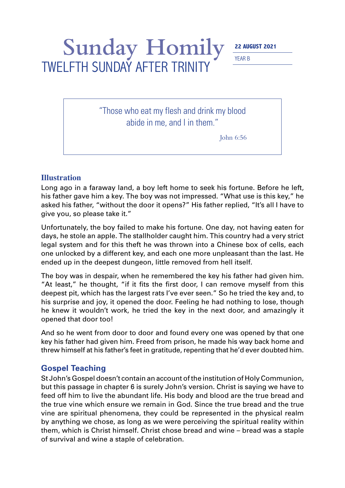## Sunday Homily 22 AUGUST 2021

YEAR B

"Those who eat my flesh and drink my blood abide in me, and I in them."

TWELFTH SUNDAY AFTER TRINITY

John 6:56

## **Illustration**

Long ago in a faraway land, a boy left home to seek his fortune. Before he left, his father gave him a key. The boy was not impressed. "What use is this key," he asked his father, "without the door it opens?" His father replied, "It's all I have to give you, so please take it."

Unfortunately, the boy failed to make his fortune. One day, not having eaten for days, he stole an apple. The stallholder caught him. This country had a very strict legal system and for this theft he was thrown into a Chinese box of cells, each one unlocked by a different key, and each one more unpleasant than the last. He ended up in the deepest dungeon, little removed from hell itself.

The boy was in despair, when he remembered the key his father had given him. "At least," he thought, "if it fits the first door, I can remove myself from this deepest pit, which has the largest rats I've ever seen." So he tried the key and, to his surprise and joy, it opened the door. Feeling he had nothing to lose, though he knew it wouldn't work, he tried the key in the next door, and amazingly it opened that door too!

And so he went from door to door and found every one was opened by that one key his father had given him. Freed from prison, he made his way back home and threw himself at his father's feet in gratitude, repenting that he'd ever doubted him.

## **Gospel Teaching**

St John's Gospel doesn't contain an account of the institution of Holy Communion, but this passage in chapter 6 is surely John's version. Christ is saying we have to feed off him to live the abundant life. His body and blood are the true bread and the true vine which ensure we remain in God. Since the true bread and the true vine are spiritual phenomena, they could be represented in the physical realm by anything we chose, as long as we were perceiving the spiritual reality within them, which is Christ himself. Christ chose bread and wine – bread was a staple of survival and wine a staple of celebration.